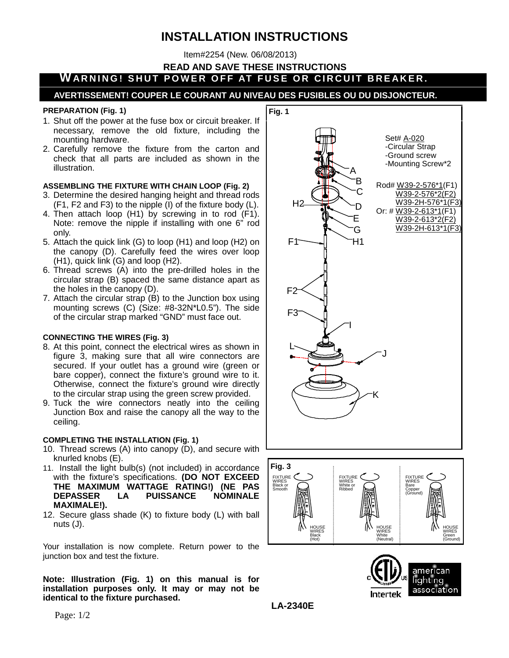# **INSTALLATION INSTRUCTIONS**

Item#2254 (New. 06/08/2013)

**READ AND SAVE THESE INSTRUCTIONS**

# **WARNING! SHUT POWER OFF AT FUSE INSTRUCTIONS<br>WARNING! SHUT POWER OFF AT FUSE OR CIRCUIT BREAKER.**<br>AVERTISSEMENT! COUPER LE COURANT AU NIVEAU DES FUSIBLES OU DU DISJONCTEUR.

#### **PREPARATION (Fig. 1)**

- 1. Shut off the power at the fuse box or circuit breaker. If necessary, remove the old fixture, including the mounting hardware.
- 2. Carefully remove the fixture from the carton and check that all parts are included as shown in the illustration.

#### **ASSEMBLING THE FIXTURE WITH CHAIN LOOP (Fig. 2)**

- 3. Determine the desired hanging height and thread rods (F1, F2 and F3) to the nipple (I) of the fixture body (L).
- 4. Then attach loop (H1) by screwing in to rod (F1). Note: remove the nipple if installing with one 6" rod only.
- 5. Attach the quick link (G) to loop (H1) and loop (H2) on the canopy (D). Carefully feed the wires over loop (H1), quick link (G) and loop (H2).
- 6. Thread screws (A) into the pre-drilled holes in the circular strap (B) spaced the same distance apart as the holes in the canopy (D).
- 7. Attach the circular strap (B) to the Junction box using mounting screws (C) (Size: #8-32N\*L0.5"). The side of the circular strap marked "GND" must face out.

### **CONNECTING THE WIRES (Fig. 3)**

- 8. At this point, connect the electrical wires as shown in figure 3, making sure that all wire connectors are secured. If your outlet has a ground wire (green or bare copper), connect the fixture's ground wire to it. Otherwise, connect the fixture's ground wire directly to the circular strap using the green screw provided.
- 9. Tuck the wire connectors neatly into the ceiling Junction Box and raise the canopy all the way to the ceiling.

### **COMPLETING THE INSTALLATION (Fig. 1)**

- 10. Thread screws (A) into canopy (D), and secure with knurled knobs (E).
- 11. Install the light bulb(s) (not included) in accordance with the fixture's specifications. **(DO NOT EXCEED THE MAXIMUM WATTAGE RATING!) (NE PAS PUISSANCE MAXIMALE!).**
- 12. Secure glass shade (K) to fixture body (L) with ball nuts (J).

Your installation is now complete. Return power to the junction box and test the fixture.

**Note: Illustration (Fig. 1) on this manual is for installation purposes only. It may or may not be identical to the fixture purchased.**







**LA-2340E**

Page: 1/2